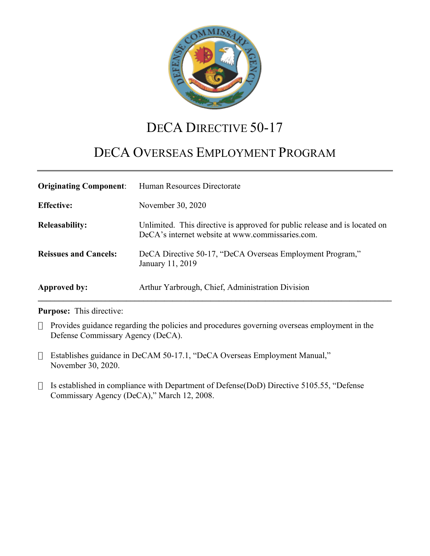

## DECA DIRECTIVE 50-17

# DECA OVERSEAS EMPLOYMENT PROGRAM

| <b>Originating Component:</b> | Human Resources Directorate                                                                                                    |
|-------------------------------|--------------------------------------------------------------------------------------------------------------------------------|
| <b>Effective:</b>             | November 30, 2020                                                                                                              |
| <b>Releasability:</b>         | Unlimited. This directive is approved for public release and is located on<br>DeCA's internet website at www.commissaries.com. |
| <b>Reissues and Cancels:</b>  | DeCA Directive 50-17, "DeCA Overseas Employment Program,"<br>January 11, 2019                                                  |
| Approved by:                  | Arthur Yarbrough, Chief, Administration Division                                                                               |

#### **Purpose:** This directive:

- Provides guidance regarding the policies and procedures governing overseas employment in the Defense Commissary Agency (DeCA).
- Establishes guidance in DeCAM 50-17.1, "DeCA Overseas Employment Manual," November 30, 2020.
- $\Box$  Is established in compliance with Department of Defense(DoD) Directive 5105.55, "Defense Commissary Agency (DeCA)," March 12, 2008.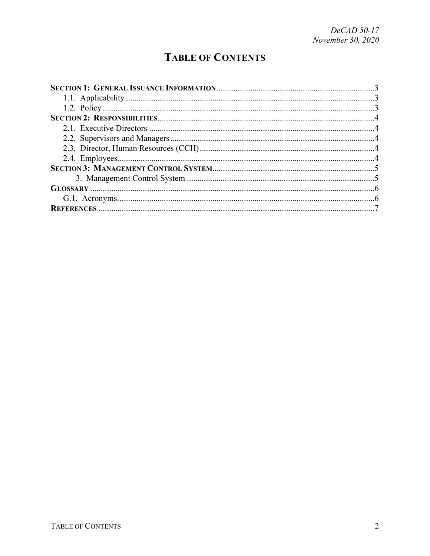## **TABLE OF CONTENTS**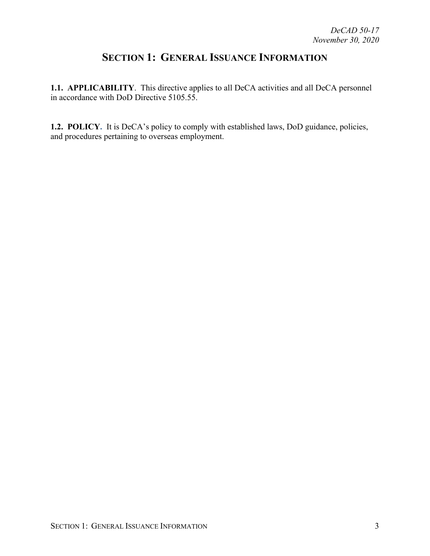### <span id="page-2-0"></span>**SECTION 1: GENERAL ISSUANCE INFORMATION**

<span id="page-2-1"></span>**1.1. APPLICABILITY**. This directive applies to all DeCA activities and all DeCA personnel in accordance with DoD Directive 5105.55.

<span id="page-2-2"></span>**1.2. POLICY.** It is DeCA's policy to comply with established laws, DoD guidance, policies, and procedures pertaining to overseas employment.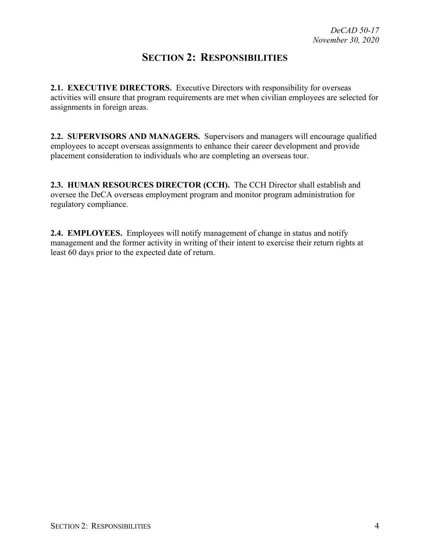#### <span id="page-3-0"></span>**SECTION 2: RESPONSIBILITIES**

**2.1. EXECUTIVE DIRECTORS.** Executive Directors with responsibility for overseas activities will ensure that program requirements are met when civilian employees are selected for assignments in foreign areas.

<span id="page-3-1"></span>**2.2. SUPERVISORS AND MANAGERS.** Supervisors and managers will encourage qualified employees to accept overseas assignments to enhance their career development and provide placement consideration to individuals who are completing an overseas tour.

**2.3. HUMAN RESOURCES DIRECTOR (CCH).** The CCH Director shall establish and oversee the DeCA overseas employment program and monitor program administration for regulatory compliance.

<span id="page-3-2"></span>**2.4. EMPLOYEES.** Employees will notify management of change in status and notify management and the former activity in writing of their intent to exercise their return rights at least 60 days prior to the expected date of return.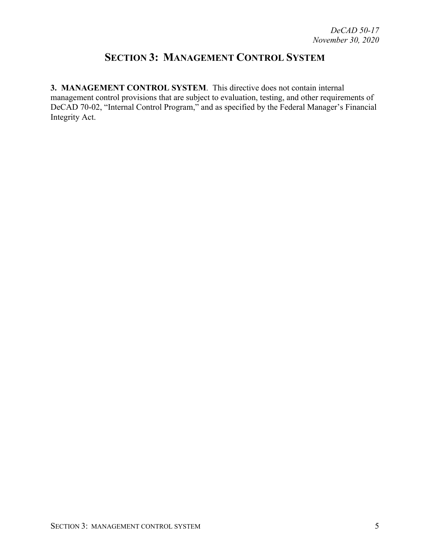### <span id="page-4-0"></span>**SECTION 3: MANAGEMENT CONTROL SYSTEM**

**3. MANAGEMENT CONTROL SYSTEM**. This directive does not contain internal management control provisions that are subject to evaluation, testing, and other requirements of DeCAD 70-02, "Internal Control Program," and as specified by the Federal Manager's Financial Integrity Act.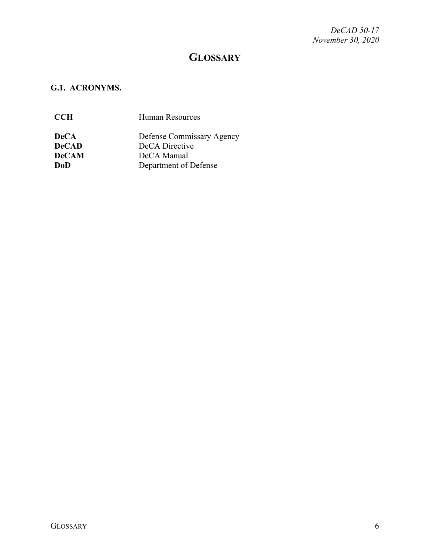#### <span id="page-5-0"></span>**GLOSSARY**

#### <span id="page-5-1"></span>**G.1. ACRONYMS.**

| <b>CCH</b>   | <b>Human Resources</b>    |
|--------------|---------------------------|
| <b>DeCA</b>  | Defense Commissary Agency |
| <b>DeCAD</b> | DeCA Directive            |
| <b>DeCAM</b> | DeCA Manual               |
| DoD          | Department of Defense     |